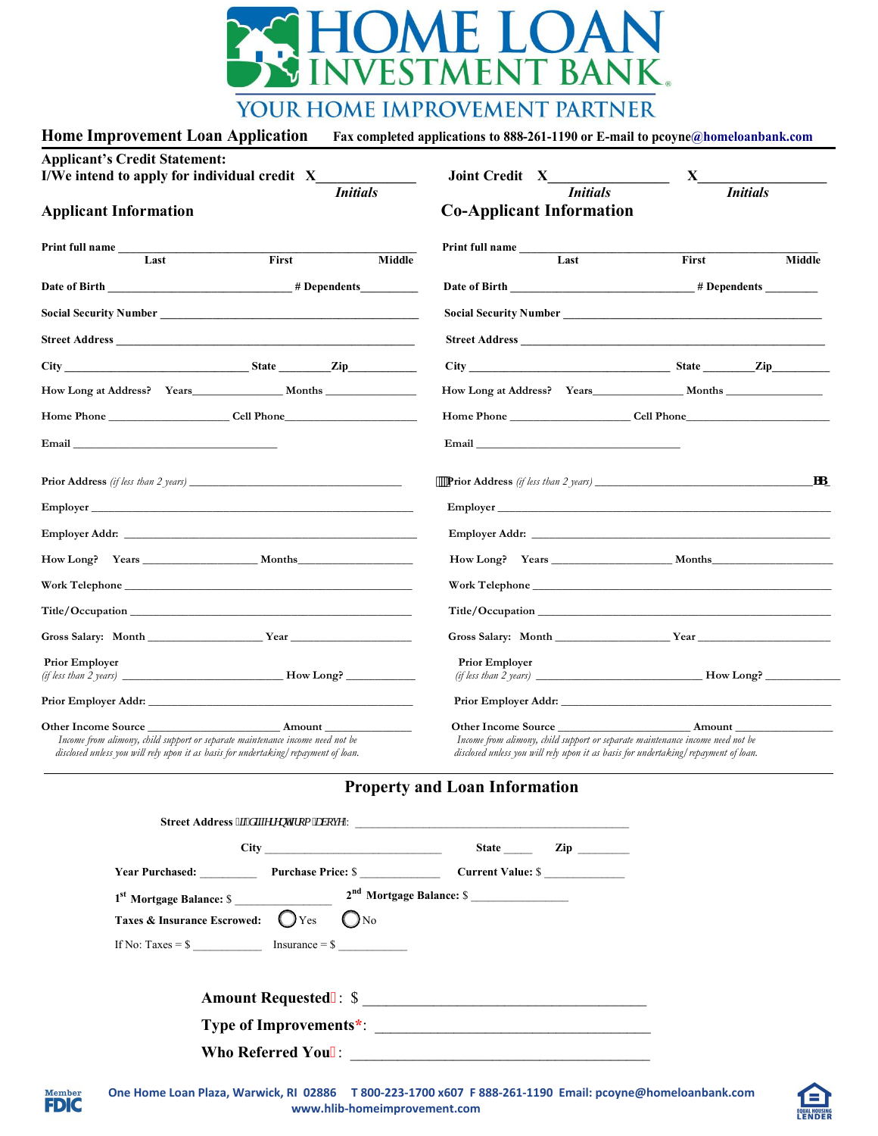

## YOUR HOME IMPROVEMENT PARTNER

| Home Improvement Loan Application Fax completed applications to 888-261-1190 or E-mail to pcoyne@homeloanbank.com |  |  |
|-------------------------------------------------------------------------------------------------------------------|--|--|
|-------------------------------------------------------------------------------------------------------------------|--|--|

| <b>Applicant's Credit Statement:</b>                                                                                                                                                                                                 |       |                                          |                                                                                                                                                                     |                                                              |  |  |
|--------------------------------------------------------------------------------------------------------------------------------------------------------------------------------------------------------------------------------------|-------|------------------------------------------|---------------------------------------------------------------------------------------------------------------------------------------------------------------------|--------------------------------------------------------------|--|--|
| I/We intend to apply for individual credit X<br><b>Initials</b><br><b>Applicant Information</b>                                                                                                                                      |       | <b>Joint Credit X</b><br><b>Initials</b> | X<br><b>Initials</b>                                                                                                                                                |                                                              |  |  |
|                                                                                                                                                                                                                                      |       | <b>Co-Applicant Information</b>          |                                                                                                                                                                     |                                                              |  |  |
| <b>Print full name</b>                                                                                                                                                                                                               |       |                                          | Print full name                                                                                                                                                     |                                                              |  |  |
| Last                                                                                                                                                                                                                                 | First | Middle                                   | Last                                                                                                                                                                | First<br>Middle                                              |  |  |
|                                                                                                                                                                                                                                      |       |                                          |                                                                                                                                                                     |                                                              |  |  |
|                                                                                                                                                                                                                                      |       |                                          | Social Security Number<br><u>Land Communication</u>                                                                                                                 |                                                              |  |  |
|                                                                                                                                                                                                                                      |       |                                          |                                                                                                                                                                     |                                                              |  |  |
|                                                                                                                                                                                                                                      |       |                                          |                                                                                                                                                                     | City Zip Zip                                                 |  |  |
| How Long at Address? Years Months                                                                                                                                                                                                    |       |                                          | How Long at Address? Years Months                                                                                                                                   |                                                              |  |  |
| Home Phone <b>Solution</b> Cell Phone                                                                                                                                                                                                |       |                                          |                                                                                                                                                                     | <b>Example 18 The Phone Cell Phone Cell Phone Cell Phone</b> |  |  |
| Email <u>and the contract of the contract of the contract of the contract of the contract of the contract of the contract of the contract of the contract of the contract of the contract of the contract of the contract of the</u> |       |                                          | Email <u>Email</u>                                                                                                                                                  |                                                              |  |  |
|                                                                                                                                                                                                                                      |       |                                          |                                                                                                                                                                     |                                                              |  |  |
|                                                                                                                                                                                                                                      |       |                                          |                                                                                                                                                                     |                                                              |  |  |
|                                                                                                                                                                                                                                      |       |                                          |                                                                                                                                                                     |                                                              |  |  |
| How Long? Years Months                                                                                                                                                                                                               |       |                                          |                                                                                                                                                                     |                                                              |  |  |
| Work Telephone                                                                                                                                                                                                                       |       |                                          |                                                                                                                                                                     | Work Telephone                                               |  |  |
|                                                                                                                                                                                                                                      |       |                                          |                                                                                                                                                                     |                                                              |  |  |
|                                                                                                                                                                                                                                      |       |                                          |                                                                                                                                                                     |                                                              |  |  |
| <b>Prior Employer</b>                                                                                                                                                                                                                |       |                                          | <b>Prior Employer</b>                                                                                                                                               |                                                              |  |  |
|                                                                                                                                                                                                                                      |       |                                          |                                                                                                                                                                     |                                                              |  |  |
| Other Income Source Amount<br>Income from alimony, child support or separate maintenance income need not be<br>disclosed unless you will rely upon it as basis for undertaking/repayment of loan.                                    |       |                                          | Income from alimony, child support or separate maintenance income need not be<br>disclosed unless you will rely upon it as basis for undertaking/repayment of loan. |                                                              |  |  |

## **Property and Loan Information**

|                                            |                                                                                                                                                                                                                                      | State Zip |
|--------------------------------------------|--------------------------------------------------------------------------------------------------------------------------------------------------------------------------------------------------------------------------------------|-----------|
|                                            | <b>The Vear Purchase Price: School School Contract Value: School School School School School School School School School School School School School School School School School School School School School School School Schoo</b> |           |
|                                            |                                                                                                                                                                                                                                      |           |
| Taxes & Insurance Escrowed: $\bigcirc$ Yes | $_{\rm 0\,No}$                                                                                                                                                                                                                       |           |
|                                            | If No: Taxes = $\frac{1}{2}$ Insurance = $\frac{1}{2}$                                                                                                                                                                               |           |
|                                            |                                                                                                                                                                                                                                      |           |
|                                            |                                                                                                                                                                                                                                      |           |
|                                            |                                                                                                                                                                                                                                      |           |